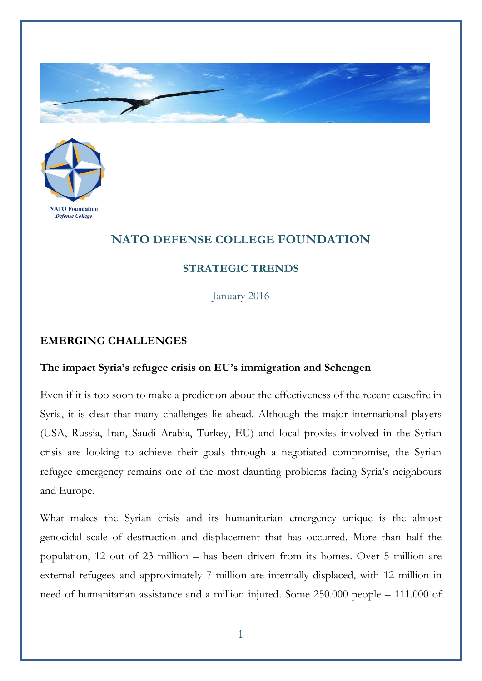



## **NATO DEFENSE COLLEGE FOUNDATION**

## **STRATEGIC TRENDS**

January 2016

## **EMERGING CHALLENGES**

## **The impact Syria's refugee crisis on EU's immigration and Schengen**

Even if it is too soon to make a prediction about the effectiveness of the recent ceasefire in Syria, it is clear that many challenges lie ahead. Although the major international players (USA, Russia, Iran, Saudi Arabia, Turkey, EU) and local proxies involved in the Syrian crisis are looking to achieve their goals through a negotiated compromise, the Syrian refugee emergency remains one of the most daunting problems facing Syria's neighbours and Europe.

What makes the Syrian crisis and its humanitarian emergency unique is the almost genocidal scale of destruction and displacement that has occurred. More than half the population, 12 out of 23 million – has been driven from its homes. Over 5 million are external refugees and approximately 7 million are internally displaced, with 12 million in need of humanitarian assistance and a million injured. Some 250.000 people – 111.000 of